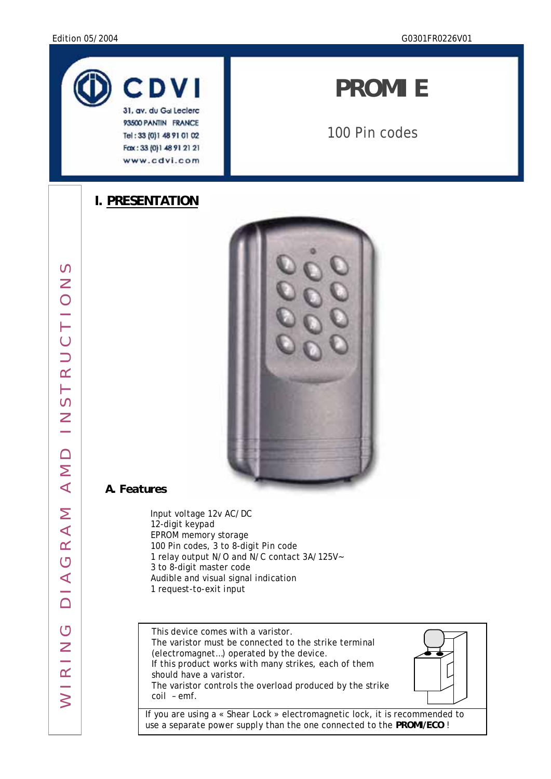

93500 PANTIN FRANCE Tel: 33 (0) 1 48 91 01 02 Fax: 33 (0)1 48 91 21 21 www.cdvi.com

# *PROMI E*

100 Pin codes

## **I. PRESENTATION**



## *A. Features*

 Input voltage 12v AC/DC 12-digit keypad EPROM memory storage 100 Pin codes, 3 to 8-digit Pin code 1 relay output N/O and N/C contact 3A/125V~ 3 to 8-digit master code Audible and visual signal indication 1 request-to-exit input

This device comes with a varistor. The varistor must be connected to the strike terminal (electromagnet…) operated by the device. If this product works with many strikes, each of them should have a varistor. The varistor controls the overload produced by the strike coil – emf.

If you are using a « Shear Lock » electromagnetic lock, it is recommended to use a separate power supply than the one connected to the **PROMI/ECO** !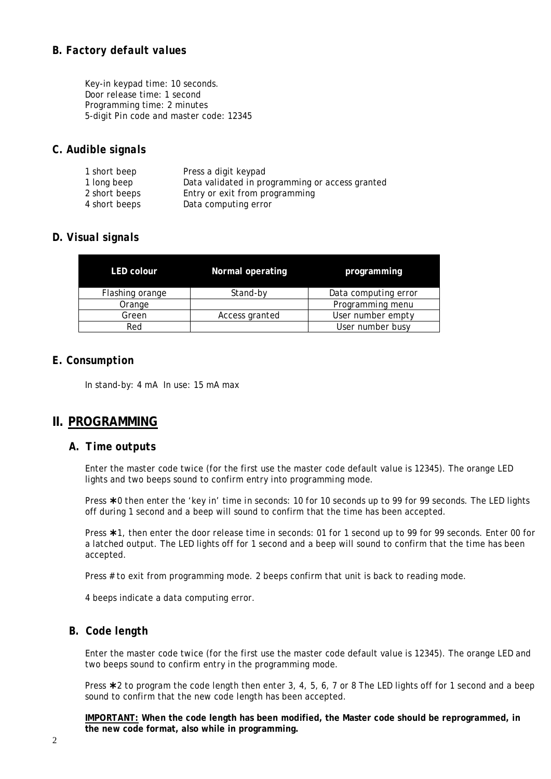#### *B. Factory default values*

Key-in keypad time: 10 seconds. Door release time: 1 second Programming time: 2 minutes 5-digit Pin code and master code: 12345

#### *C. Audible signals*

| 1 short beep  | Press a digit keypad                            |
|---------------|-------------------------------------------------|
| 1 long beep   | Data validated in programming or access granted |
| 2 short beeps | Entry or exit from programming                  |
| 4 short beeps | Data computing error                            |

#### *D. Visual signals*

| <b>LED colour</b> | Normal operating | programming          |
|-------------------|------------------|----------------------|
| Flashing orange   | Stand-by         | Data computing error |
| Orange            |                  | Programming menu     |
| Green             | Access granted   | User number empty    |
| Red               |                  | User number busy     |

#### *E. Consumption*

In stand-by: 4 mA In use: 15 mA max

## **II. PROGRAMMING**

#### *A. Time outputs*

Enter the master code twice (for the first use the master code default value is 12345). The orange LED lights and two beeps sound to confirm entry into programming mode.

Press \*0 then enter the 'key in' time in seconds: 10 for 10 seconds up to 99 for 99 seconds. The LED lights off during 1 second and a beep will sound to confirm that the time has been accepted.

Press  $*1$ , then enter the door release time in seconds: 01 for 1 second up to 99 for 99 seconds. Enter 00 for a latched output. The LED lights off for 1 second and a beep will sound to confirm that the time has been accepted.

Press # to exit from programming mode. 2 beeps confirm that unit is back to reading mode.

4 beeps indicate a data computing error.

#### *B. Code length*

Enter the master code twice (for the first use the master code default value is 12345). The orange LED and two beeps sound to confirm entry in the programming mode.

Press  $*2$  to program the code length then enter 3, 4, 5, 6, 7 or 8 The LED lights off for 1 second and a beep sound to confirm that the new code length has been accepted.

**IMPORTANT: When the code length has been modified, the Master code should be reprogrammed, in the new code format, also while in programming.**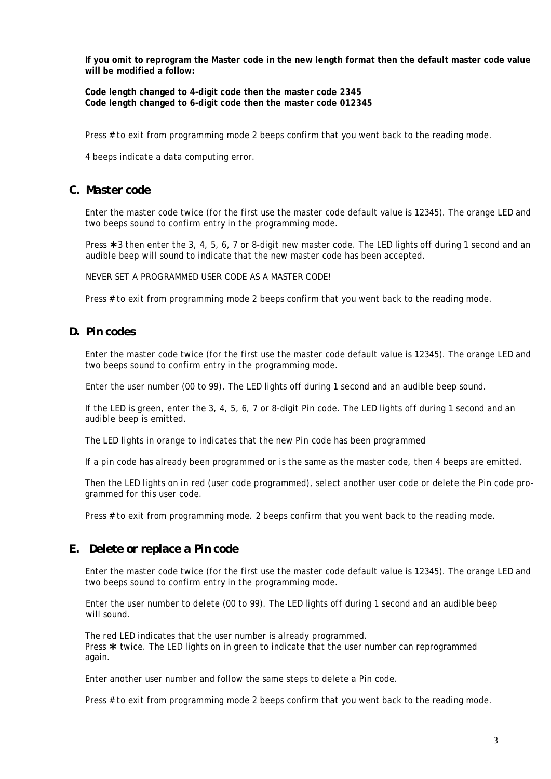**If you omit to reprogram the Master code in the new length format then the default master code value will be modified a follow:** 

**Code length changed to 4-digit code then the master code 2345 Code length changed to 6-digit code then the master code 012345**

Press # to exit from programming mode 2 beeps confirm that you went back to the reading mode.

4 beeps indicate a data computing error.

#### *C. Master code*

Enter the master code twice (for the first use the master code default value is 12345). The orange LED and two beeps sound to confirm entry in the programming mode.

Press  $*3$  then enter the 3, 4, 5, 6, 7 or 8-digit new master code. The LED lights off during 1 second and an audible beep will sound to indicate that the new master code has been accepted.

NEVER SET A PROGRAMMED USER CODE AS A MASTER CODE!

Press # to exit from programming mode 2 beeps confirm that you went back to the reading mode.

#### *D. Pin codes*

Enter the master code twice (for the first use the master code default value is 12345). The orange LED and two beeps sound to confirm entry in the programming mode.

Enter the user number (00 to 99). The LED lights off during 1 second and an audible beep sound.

If the LED is green, enter the 3, 4, 5, 6, 7 or 8-digit Pin code. The LED lights off during 1 second and an audible beep is emitted.

The LED lights in orange to indicates that the new Pin code has been programmed

If a pin code has already been programmed or is the same as the master code, then 4 beeps are emitted.

Then the LED lights on in red (user code programmed), select another user code or delete the Pin code programmed for this user code.

Press # to exit from programming mode. 2 beeps confirm that you went back to the reading mode.

#### *E. Delete or replace a Pin code*

Enter the master code twice (for the first use the master code default value is 12345). The orange LED and two beeps sound to confirm entry in the programming mode.

Enter the user number to delete (00 to 99). The LED lights off during 1 second and an audible beep will sound.

The red LED indicates that the user number is already programmed. Press  $*$  twice. The LED lights on in green to indicate that the user number can reprogrammed again.

Enter another user number and follow the same steps to delete a Pin code.

Press # to exit from programming mode 2 beeps confirm that you went back to the reading mode.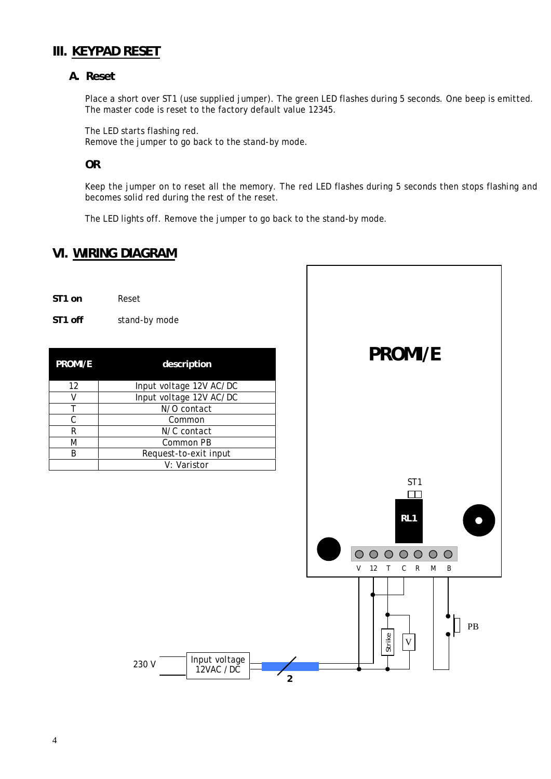## **III. KEYPAD RESET**

#### *A. Reset*

Place a short over ST1 (use supplied jumper). The green LED flashes during 5 seconds. One beep is emitted. The master code is reset to the factory default value 12345.

The LED starts flashing red.

Remove the jumper to go back to the stand-by mode.

#### **OR**

Keep the jumper on to reset all the memory. The red LED flashes during 5 seconds then stops flashing and becomes solid red during the rest of the reset.

The LED lights off. Remove the jumper to go back to the stand-by mode.

## **VI. WIRING DIAGRAM**

| ST <sub>1</sub> on | Reset |
|--------------------|-------|
|                    |       |

**ST1 off** stand-by mode

| <b>PROMI/E</b> | description             |
|----------------|-------------------------|
| 12             | Input voltage 12V AC/DC |
| V              | Input voltage 12V AC/DC |
|                | N/O contact             |
| C              | Common                  |
| R              | N/C contact             |
| M              | Common PB               |
| R              | Request-to-exit input   |
|                | V: Varistor             |

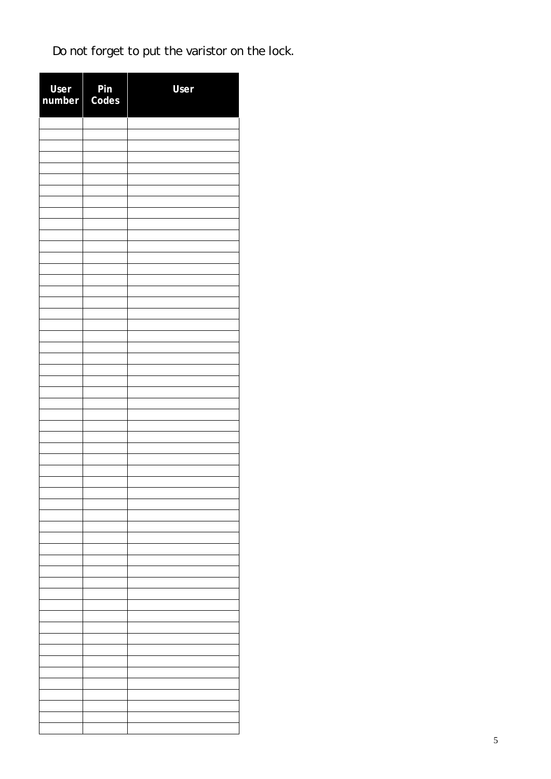Do not forget to put the varistor on the lock.